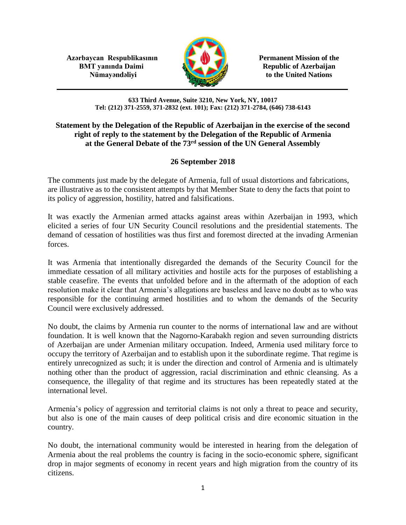**Azərbaycan Respublikasının Permanent Mission of the BMT yanında Daimi Republic of Azerbaijan** 



**Nümayəndəliyi** to the United Nations

**633 Third Avenue, Suite 3210, New York, NY, 10017 Tel: (212) 371-2559, 371-2832 (ext. 101); Fax: (212) 371-2784, (646) 738-6143**

## **Statement by the Delegation of the Republic of Azerbaijan in the exercise of the second right of reply to the statement by the Delegation of the Republic of Armenia at the General Debate of the 73rd session of the UN General Assembly**

## **26 September 2018**

The comments just made by the delegate of Armenia, full of usual distortions and fabrications, are illustrative as to the consistent attempts by that Member State to deny the facts that point to its policy of aggression, hostility, hatred and falsifications.

It was exactly the Armenian armed attacks against areas within Azerbaijan in 1993, which elicited a series of four UN Security Council resolutions and the presidential statements. The demand of cessation of hostilities was thus first and foremost directed at the invading Armenian forces.

It was Armenia that intentionally disregarded the demands of the Security Council for the immediate cessation of all military activities and hostile acts for the purposes of establishing a stable ceasefire. The events that unfolded before and in the aftermath of the adoption of each resolution make it clear that Armenia's allegations are baseless and leave no doubt as to who was responsible for the continuing armed hostilities and to whom the demands of the Security Council were exclusively addressed.

No doubt, the claims by Armenia run counter to the norms of international law and are without foundation. It is well known that the Nagorno-Karabakh region and seven surrounding districts of Azerbaijan are under Armenian military occupation. Indeed, Armenia used military force to occupy the territory of Azerbaijan and to establish upon it the subordinate regime. That regime is entirely unrecognized as such; it is under the direction and control of Armenia and is ultimately nothing other than the product of aggression, racial discrimination and ethnic cleansing. As a consequence, the illegality of that regime and its structures has been repeatedly stated at the international level.

Armenia's policy of aggression and territorial claims is not only a threat to peace and security, but also is one of the main causes of deep political crisis and dire economic situation in the country.

No doubt, the international community would be interested in hearing from the delegation of Armenia about the real problems the country is facing in the socio-economic sphere, significant drop in major segments of economy in recent years and high migration from the country of its citizens.